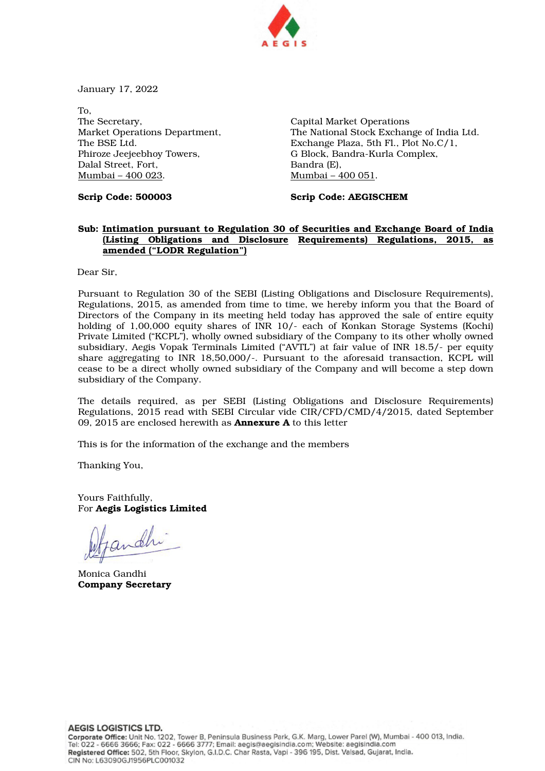

January 17, 2022

To, The Secretary, Market Operations Department, The BSE Ltd. Phiroze Jeejeebhoy Towers, Dalal Street, Fort, Mumbai – 400 023.

Capital Market Operations The National Stock Exchange of India Ltd. Exchange Plaza, 5th Fl., Plot No.C/1, G Block, Bandra-Kurla Complex, Bandra (E), Mumbai – 400 051.

Scrip Code: 500003

Scrip Code: AEGISCHEM

## Sub: Intimation pursuant to Regulation 30 of Securities and Exchange Board of India (Listing Obligations and Disclosure Requirements) Regulations, 2015, as amended ("LODR Regulation")

Dear Sir,

Pursuant to Regulation 30 of the SEBI (Listing Obligations and Disclosure Requirements), Regulations, 2015, as amended from time to time, we hereby inform you that the Board of Directors of the Company in its meeting held today has approved the sale of entire equity holding of 1,00,000 equity shares of INR 10/- each of Konkan Storage Systems (Kochi) Private Limited ("KCPL"), wholly owned subsidiary of the Company to its other wholly owned subsidiary, Aegis Vopak Terminals Limited ("AVTL") at fair value of INR 18.5/- per equity share aggregating to INR 18,50,000/-. Pursuant to the aforesaid transaction, KCPL will cease to be a direct wholly owned subsidiary of the Company and will become a step down subsidiary of the Company.

The details required, as per SEBI (Listing Obligations and Disclosure Requirements) Regulations, 2015 read with SEBI Circular vide CIR/CFD/CMD/4/2015, dated September 09, 2015 are enclosed herewith as **Annexure A** to this letter

This is for the information of the exchange and the members

Thanking You,

Yours Faithfully, For Aegis Logistics Limited

andhi

Monica Gandhi Company Secretary